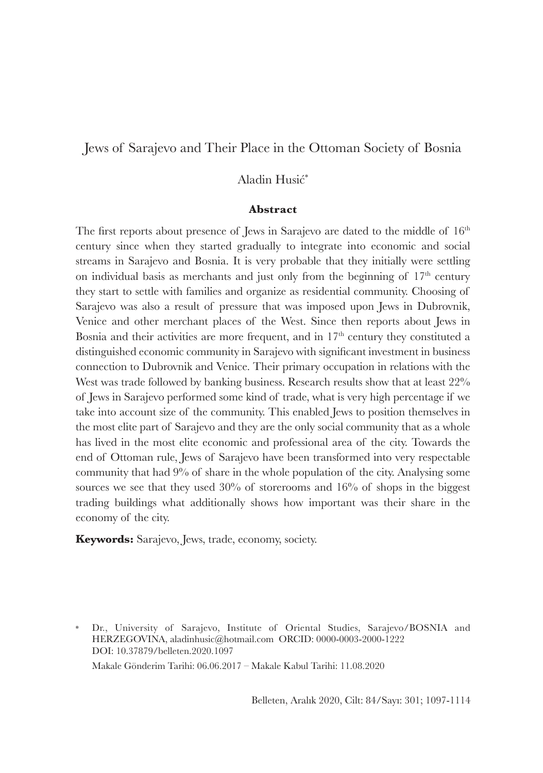#### Aladin Husić\*

#### **Abstract**

The first reports about presence of Jews in Sarajevo are dated to the middle of  $16<sup>th</sup>$ century since when they started gradually to integrate into economic and social streams in Sarajevo and Bosnia. It is very probable that they initially were settling on individual basis as merchants and just only from the beginning of  $17<sup>th</sup>$  century they start to settle with families and organize as residential community. Choosing of Sarajevo was also a result of pressure that was imposed upon Jews in Dubrovnik, Venice and other merchant places of the West. Since then reports about Jews in Bosnia and their activities are more frequent, and in  $17<sup>th</sup>$  century they constituted a distinguished economic community in Sarajevo with significant investment in business connection to Dubrovnik and Venice. Their primary occupation in relations with the West was trade followed by banking business. Research results show that at least  $22\%$ of Jews in Sarajevo performed some kind of trade, what is very high percentage if we take into account size of the community. This enabled Jews to position themselves in the most elite part of Sarajevo and they are the only social community that as a whole has lived in the most elite economic and professional area of the city. Towards the end of Ottoman rule, Jews of Sarajevo have been transformed into very respectable community that had 9% of share in the whole population of the city. Analysing some sources we see that they used 30% of storerooms and 16% of shops in the biggest trading buildings what additionally shows how important was their share in the economy of the city.

**Keywords:** Sarajevo, Jews, trade, economy, society.

Dr., University of Sarajevo, Institute of Oriental Studies, Sarajevo/BOSNIA and HERZEGOVINA, aladinhusic@hotmail.com ORCID: 0000-0003-2000-1222 DOI: 10.37879/belleten.2020.1097 Makale Gönderim Tarihi: 06.06.2017 – Makale Kabul Tarihi: 11.08.2020

Belleten, Aralık 2020, Cilt: 84/Sayı: 301; 1097-1114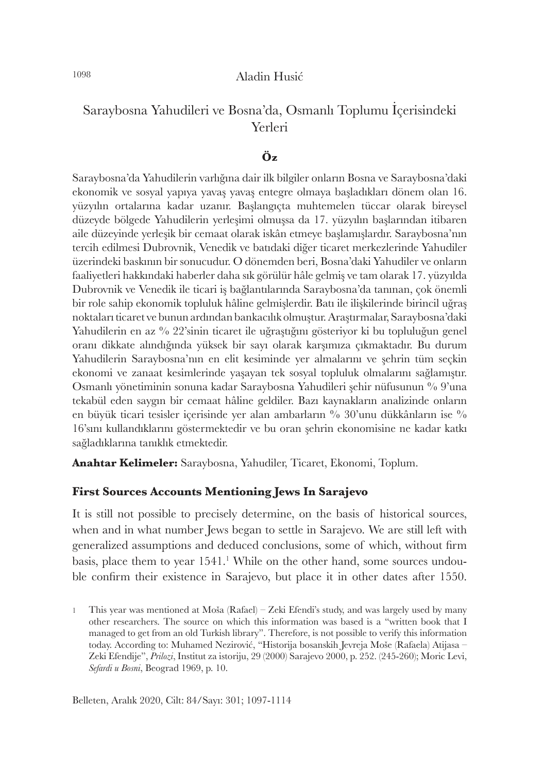# Saraybosna Yahudileri ve Bosna'da, Osmanlı Toplumu İçerisindeki Yerleri

### **Öz**

Saraybosna'da Yahudilerin varlığına dair ilk bilgiler onların Bosna ve Saraybosna'daki ekonomik ve sosyal yapıya yavaş yavaş entegre olmaya başladıkları dönem olan 16. yüzyılın ortalarına kadar uzanır. Başlangıçta muhtemelen tüccar olarak bireysel düzeyde bölgede Yahudilerin yerleşimi olmuşsa da 17. yüzyılın başlarından itibaren aile düzeyinde yerleşik bir cemaat olarak iskân etmeye başlamışlardır. Saraybosna'nın tercih edilmesi Dubrovnik, Venedik ve batıdaki diğer ticaret merkezlerinde Yahudiler üzerindeki baskının bir sonucudur. O dönemden beri, Bosna'daki Yahudiler ve onların faaliyetleri hakkındaki haberler daha sık görülür hâle gelmiş ve tam olarak 17. yüzyılda Dubrovnik ve Venedik ile ticari iş bağlantılarında Saraybosna'da tanınan, çok önemli bir role sahip ekonomik topluluk hâline gelmişlerdir. Batı ile ilişkilerinde birincil uğraş noktaları ticaret ve bunun ardından bankacılık olmuştur. Araştırmalar, Saraybosna'daki Yahudilerin en az % 22'sinin ticaret ile uğraştığını gösteriyor ki bu topluluğun genel oranı dikkate alındığında yüksek bir sayı olarak karşımıza çıkmaktadır. Bu durum Yahudilerin Saraybosna'nın en elit kesiminde yer almalarını ve şehrin tüm seçkin ekonomi ve zanaat kesimlerinde yaşayan tek sosyal topluluk olmalarını sağlamıştır. Osmanlı yönetiminin sonuna kadar Saraybosna Yahudileri şehir nüfusunun % 9'una tekabül eden saygın bir cemaat hâline geldiler. Bazı kaynakların analizinde onların en büyük ticari tesisler içerisinde yer alan ambarların % 30'unu dükkânların ise % 16'sını kullandıklarını göstermektedir ve bu oran şehrin ekonomisine ne kadar katkı sağladıklarına tanıklık etmektedir.

**Anahtar Kelimeler:** Saraybosna, Yahudiler, Ticaret, Ekonomi, Toplum.

#### **First Sources Accounts Mentioning Jews In Sarajevo**

It is still not possible to precisely determine, on the basis of historical sources, when and in what number Jews began to settle in Sarajevo. We are still left with generalized assumptions and deduced conclusions, some of which, without firm basis, place them to year 1541.<sup>1</sup> While on the other hand, some sources undouble confirm their existence in Sarajevo, but place it in other dates after 1550.

<sup>1</sup> This year was mentioned at Moša (Rafael) – Zeki Efendi's study, and was largely used by many other researchers. The source on which this information was based is a "written book that I managed to get from an old Turkish library". Therefore, is not possible to verify this information today. According to: Muhamed Nezirović, "Historija bosanskih Jevreja Moše (Rafaela) Atijasa – Zeki Efendije", *Prilozi*, Institut za istoriju, 29 (2000) Sarajevo 2000, p. 252. (245-260); Moric Levi, *Sefardi u Bosni*, Beograd 1969, p. 10.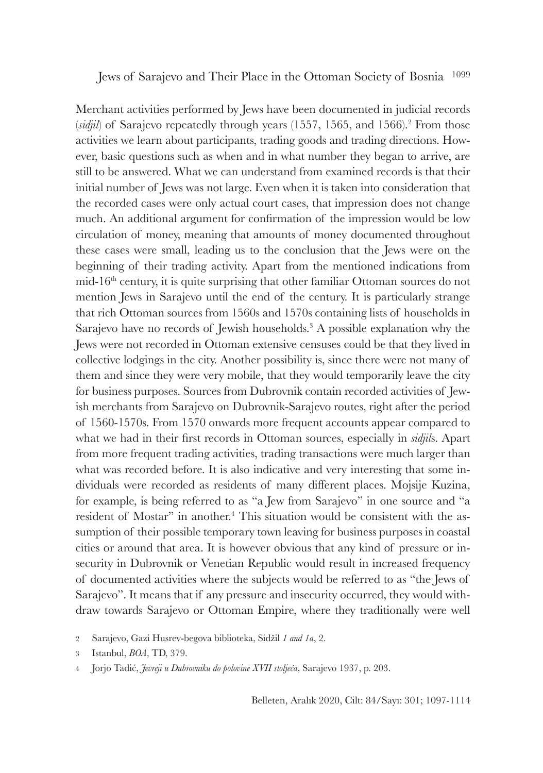Jews of Sarajevo and Their Place in the Ottoman Society of Bosnia <sup>1099</sup>

Merchant activities performed by Jews have been documented in judicial records (*sidjil*) of Sarajevo repeatedly through years (1557, 1565, and 1566).<sup>2</sup> From those activities we learn about participants, trading goods and trading directions. However, basic questions such as when and in what number they began to arrive, are still to be answered. What we can understand from examined records is that their initial number of Jews was not large. Even when it is taken into consideration that the recorded cases were only actual court cases, that impression does not change much. An additional argument for confirmation of the impression would be low circulation of money, meaning that amounts of money documented throughout these cases were small, leading us to the conclusion that the Jews were on the beginning of their trading activity. Apart from the mentioned indications from  $mid-16<sup>th</sup>$  century, it is quite surprising that other familiar Ottoman sources do not mention Jews in Sarajevo until the end of the century. It is particularly strange that rich Ottoman sources from 1560s and 1570s containing lists of households in Sarajevo have no records of Jewish households.<sup>3</sup> A possible explanation why the Jews were not recorded in Ottoman extensive censuses could be that they lived in collective lodgings in the city. Another possibility is, since there were not many of them and since they were very mobile, that they would temporarily leave the city for business purposes. Sources from Dubrovnik contain recorded activities of Jewish merchants from Sarajevo on Dubrovnik-Sarajevo routes, right after the period of 1560-1570s. From 1570 onwards more frequent accounts appear compared to what we had in their first records in Ottoman sources, especially in *sidjil*s. Apart from more frequent trading activities, trading transactions were much larger than what was recorded before. It is also indicative and very interesting that some individuals were recorded as residents of many different places. Mojsije Kuzina, for example, is being referred to as "a Jew from Sarajevo" in one source and "a resident of Mostar" in another.<sup>4</sup> This situation would be consistent with the assumption of their possible temporary town leaving for business purposes in coastal cities or around that area. It is however obvious that any kind of pressure or insecurity in Dubrovnik or Venetian Republic would result in increased frequency of documented activities where the subjects would be referred to as "the Jews of Sarajevo". It means that if any pressure and insecurity occurred, they would withdraw towards Sarajevo or Ottoman Empire, where they traditionally were well

<sup>2</sup> Sarajevo, Gazi Husrev-begova biblioteka, Sidžil *1 and 1a*, 2.

<sup>3</sup> Istanbul, *BOA*, TD, 379.

<sup>4</sup> Jorjo Tadić, *Jevreji u Dubrovniku do polovine XVII stoljeća*, Sarajevo 1937, p. 203.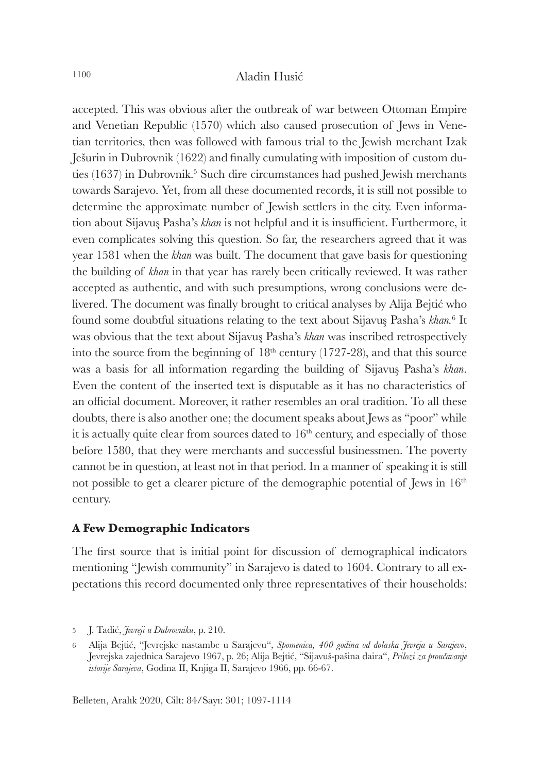accepted. This was obvious after the outbreak of war between Ottoman Empire and Venetian Republic (1570) which also caused prosecution of Jews in Venetian territories, then was followed with famous trial to the Jewish merchant Izak Ješurin in Dubrovnik (1622) and finally cumulating with imposition of custom duties (1637) in Dubrovnik.<sup>5</sup> Such dire circumstances had pushed Jewish merchants towards Sarajevo. Yet, from all these documented records, it is still not possible to determine the approximate number of Jewish settlers in the city. Even information about Sijavuş Pasha's *khan* is not helpful and it is insufficient. Furthermore, it even complicates solving this question. So far, the researchers agreed that it was year 1581 when the *khan* was built. The document that gave basis for questioning the building of *khan* in that year has rarely been critically reviewed. It was rather accepted as authentic, and with such presumptions, wrong conclusions were delivered. The document was finally brought to critical analyses by Alija Bejtić who found some doubtful situations relating to the text about Sijavuş Pasha's *khan.*<sup>6</sup> It was obvious that the text about Sijavuş Pasha's *khan* was inscribed retrospectively into the source from the beginning of  $18<sup>th</sup>$  century (1727-28), and that this source was a basis for all information regarding the building of Sijavuş Pasha's *khan*. Even the content of the inserted text is disputable as it has no characteristics of an official document. Moreover, it rather resembles an oral tradition. To all these doubts, there is also another one; the document speaks about Jews as "poor" while it is actually quite clear from sources dated to  $16<sup>th</sup>$  century, and especially of those before 1580, that they were merchants and successful businessmen. The poverty cannot be in question, at least not in that period. In a manner of speaking it is still not possible to get a clearer picture of the demographic potential of Jews in 16<sup>th</sup> century.

#### **A Few Demographic Indicators**

The first source that is initial point for discussion of demographical indicators mentioning "Jewish community" in Sarajevo is dated to 1604. Contrary to all expectations this record documented only three representatives of their households:

<sup>5</sup> J. Tadić, *Jevreji u Dubrovniku*, p. 210.

<sup>6</sup> Alija Bejtić, "Jevrejske nastambe u Sarajevu", *Spomenica, 400 godina od dolaska Jevreja u Sarajevo*, Jevrejska zajednica Sarajevo 1967, p. 26; Alija Bejtić, "Sijavuš-pašina daira", *Prilozi za proučavanje istorije Sarajeva*, Godina II, Knjiga II, Sarajevo 1966, pp. 66-67.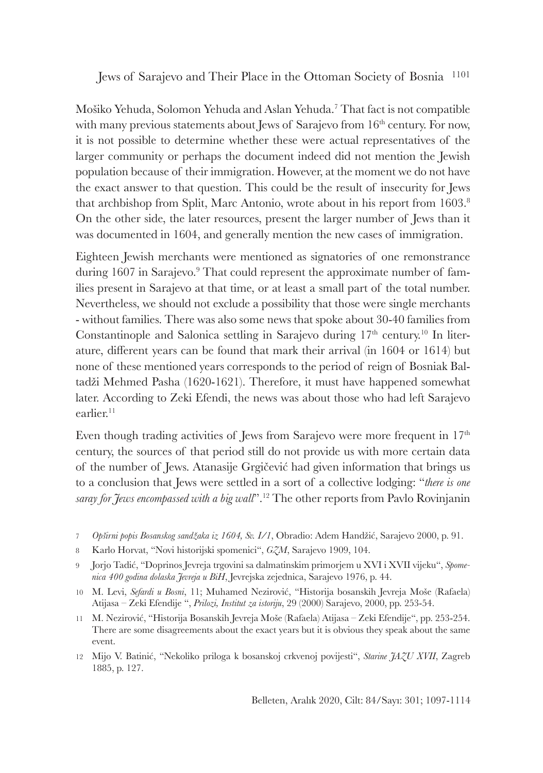Mošiko Yehuda, Solomon Yehuda and Aslan Yehuda.<sup>7</sup> That fact is not compatible with many previous statements about Jews of Sarajevo from 16<sup>th</sup> century. For now, it is not possible to determine whether these were actual representatives of the larger community or perhaps the document indeed did not mention the Jewish population because of their immigration. However, at the moment we do not have the exact answer to that question. This could be the result of insecurity for Jews that archbishop from Split, Marc Antonio, wrote about in his report from 1603.<sup>8</sup> On the other side, the later resources, present the larger number of Jews than it was documented in 1604, and generally mention the new cases of immigration.

Eighteen Jewish merchants were mentioned as signatories of one remonstrance during 1607 in Sarajevo.<sup>9</sup> That could represent the approximate number of families present in Sarajevo at that time, or at least a small part of the total number. Nevertheless, we should not exclude a possibility that those were single merchants - without families. There was also some news that spoke about 30-40 families from Constantinople and Salonica settling in Sarajevo during  $17<sup>th</sup>$  century.<sup>10</sup> In literature, different years can be found that mark their arrival (in 1604 or 1614) but none of these mentioned years corresponds to the period of reign of Bosniak Baltadži Mehmed Pasha (1620-1621). Therefore, it must have happened somewhat later. According to Zeki Efendi, the news was about those who had left Sarajevo earlier.<sup>11</sup>

Even though trading activities of Jews from Sarajevo were more frequent in  $17<sup>th</sup>$ century, the sources of that period still do not provide us with more certain data of the number of Jews. Atanasije Grgičević had given information that brings us to a conclusion that Jews were settled in a sort of a collective lodging: "*there is one saray for Jews encompassed with a big wall*".<sup>12</sup> The other reports from Pavlo Rovinjanin

- 7 *Opširni popis Bosanskog sandžaka iz 1604, Sv. I/1*, Obradio: Adem Handžić, Sarajevo 2000, p. 91.
- 8 Karlo Horvat, "Novi historijski spomenici", *GZM*, Sarajevo 1909, 104.
- 9 Jorjo Tadić, "Doprinos Jevreja trgovini sa dalmatinskim primorjem u XVI i XVII vijeku", *Spomenica 400 godina dolaska Jevreja u BiH*, Jevrejska zejednica, Sarajevo 1976, p. 44.
- 10 M. Levi, *Sefardi u Bosni*, 11; Muhamed Nezirović, "Historija bosanskih Jevreja Moše (Rafaela) Atijasa – Zeki Efendije ", *Prilozi, Institut za istoriju*, 29 (2000) Sarajevo, 2000, pp. 253-54.
- 11 M. Nezirović, "Historija Bosanskih Jevreja Moše (Rafaela) Atijasa Zeki Efendije", pp. 253-254. There are some disagreements about the exact years but it is obvious they speak about the same event.
- 12 Mijo V. Batinić, "Nekoliko priloga k bosanskoj crkvenoj povijesti", *Starine JAZU XVII*, Zagreb 1885, p. 127.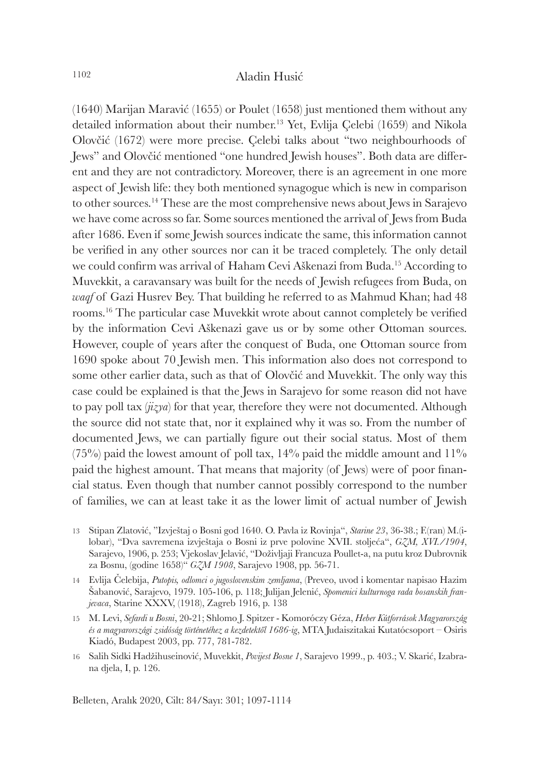(1640) Marijan Maravić (1655) or Poulet (1658) just mentioned them without any detailed information about their number.<sup>13</sup> Yet, Evlija Çelebi (1659) and Nikola Olovčić (1672) were more precise. Çelebi talks about "two neighbourhoods of Jews" and Olovčić mentioned "one hundred Jewish houses". Both data are different and they are not contradictory. Moreover, there is an agreement in one more aspect of Jewish life: they both mentioned synagogue which is new in comparison to other sources.<sup>14</sup> These are the most comprehensive news about Jews in Sarajevo we have come across so far. Some sources mentioned the arrival of Jews from Buda after 1686. Even if some Jewish sources indicate the same, this information cannot be verified in any other sources nor can it be traced completely. The only detail we could confirm was arrival of Haham Cevi Aškenazi from Buda.<sup>15</sup> According to Muvekkit, a caravansary was built for the needs of Jewish refugees from Buda, on *waqf* of Gazi Husrev Bey. That building he referred to as Mahmud Khan; had 48 rooms.<sup>16</sup> The particular case Muvekkit wrote about cannot completely be verified by the information Cevi Aškenazi gave us or by some other Ottoman sources. However, couple of years after the conquest of Buda, one Ottoman source from 1690 spoke about 70 Jewish men. This information also does not correspond to some other earlier data, such as that of Olovčić and Muvekkit. The only way this case could be explained is that the Jews in Sarajevo for some reason did not have to pay poll tax (*jizya*) for that year, therefore they were not documented. Although the source did not state that, nor it explained why it was so. From the number of documented Jews, we can partially figure out their social status. Most of them  $(75%)$  paid the lowest amount of poll tax,  $14%$  paid the middle amount and  $11%$ paid the highest amount. That means that majority (of Jews) were of poor financial status. Even though that number cannot possibly correspond to the number of families, we can at least take it as the lower limit of actual number of Jewish

- 13 Stipan Zlatović, "Izvještaj o Bosni god 1640. O. Pavla iz Rovinja", *Starine 23*, 36-38.; F.(ran) M.(ilobar), "Dva savremena izvještaja o Bosni iz prve polovine XVII. stoljeća", *GZM, XVI./1904*, Sarajevo, 1906, p. 253; Vjekoslav Jelavić, "Doživljaji Francuza Poullet-a, na putu kroz Dubrovnik za Bosnu, (godine 1658)" *GZM 1908*, Sarajevo 1908, pp. 56-71.
- 14 Evlija Čelebija, *Putopis, odlomci o jugoslovenskim zemljama*, (Preveo, uvod i komentar napisao Hazim Šabanović, Sarajevo, 1979. 105-106, p. 118; Julijan Jelenić, *Spomenici kulturnoga rada bosanskih franjevaca*, Starine XXXV, (1918), Zagreb 1916, p. 138
- 15 M. Levi, *Sefardi u Bosni*, 20-21; Shlomo J. Spitzer Komoróczy Géza, *Heber Kútforrások Magyarország és a magyarországi zsidóság történetéhez a kezdetektől 1686-ig*, MTA Judaiszitakai Kutatócsoport – Osiris Kiadó, Budapest 2003, pp. 777, 781-782.
- 16 Salih Sidki Hadžihuseinović, Muvekkit, *Povijest Bosne 1*, Sarajevo 1999., p. 403.; V. Skarić, Izabrana djela, I, p. 126.

Belleten, Aralık 2020, Cilt: 84/Sayı: 301; 1097-1114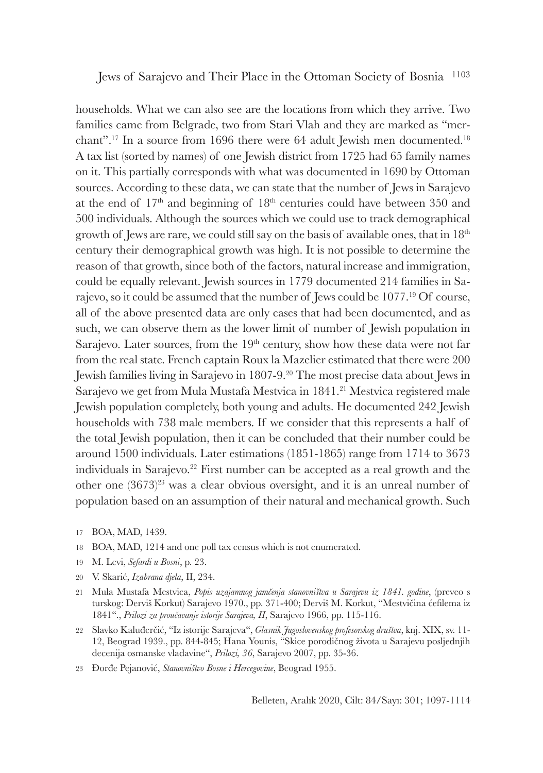households. What we can also see are the locations from which they arrive. Two families came from Belgrade, two from Stari Vlah and they are marked as "merchant".<sup>17</sup> In a source from 1696 there were 64 adult Jewish men documented.<sup>18</sup> A tax list (sorted by names) of one Jewish district from 1725 had 65 family names on it. This partially corresponds with what was documented in 1690 by Ottoman sources. According to these data, we can state that the number of Jews in Sarajevo at the end of  $17<sup>th</sup>$  and beginning of  $18<sup>th</sup>$  centuries could have between 350 and 500 individuals. Although the sources which we could use to track demographical growth of Jews are rare, we could still say on the basis of available ones, that in 18<sup>th</sup> century their demographical growth was high. It is not possible to determine the reason of that growth, since both of the factors, natural increase and immigration, could be equally relevant. Jewish sources in 1779 documented 214 families in Sarajevo, so it could be assumed that the number of Jews could be 1077.<sup>19</sup> Of course, all of the above presented data are only cases that had been documented, and as such, we can observe them as the lower limit of number of Jewish population in Sarajevo. Later sources, from the  $19<sup>th</sup>$  century, show how these data were not far from the real state. French captain Roux la Mazelier estimated that there were 200 Jewish families living in Sarajevo in 1807-9.<sup>20</sup> The most precise data about Jews in Sarajevo we get from Mula Mustafa Mestvica in 1841.<sup>21</sup> Mestvica registered male Jewish population completely, both young and adults. He documented 242 Jewish households with 738 male members. If we consider that this represents a half of the total Jewish population, then it can be concluded that their number could be around 1500 individuals. Later estimations (1851-1865) range from 1714 to 3673 individuals in Sarajevo.<sup>22</sup> First number can be accepted as a real growth and the other one (3673)<sup>23</sup> was a clear obvious oversight, and it is an unreal number of population based on an assumption of their natural and mechanical growth. Such

- 17 BOA, MAD, 1439.
- 18 BOA, MAD, 1214 and one poll tax census which is not enumerated.
- 19 M. Levi, *Sefardi u Bosni*, p. 23.
- 20 V. Skarić, *Izabrana djela*, II, 234.
- 21 Mula Mustafa Mestvica, *Popis uzajamnog jamčenja stanovništva u Sarajevu iz 1841. godine*, (preveo s turskog: Derviš Korkut) Sarajevo 1970., pp. 371-400; Derviš M. Korkut, "Mestvičina ćefilema iz 1841"., *Prilozi za proučavanje istorije Sarajeva, II*, Sarajevo 1966, pp. 115-116.
- 22 Slavko Kaluđerčić, "Iz istorije Sarajeva", *Glasnik Jugoslovenskog profesorskog društva*, knj. XIX, sv. 11- 12, Beograd 1939., pp. 844-845; Hana Younis, "Skice porodičnog života u Sarajevu posljednjih decenija osmanske vladavine", *Prilozi, 36*, Sarajevo 2007, pp. 35-36.
- 23 Đorđe Pejanović, *Stanovništvo Bosne i Hercegovine*, Beograd 1955.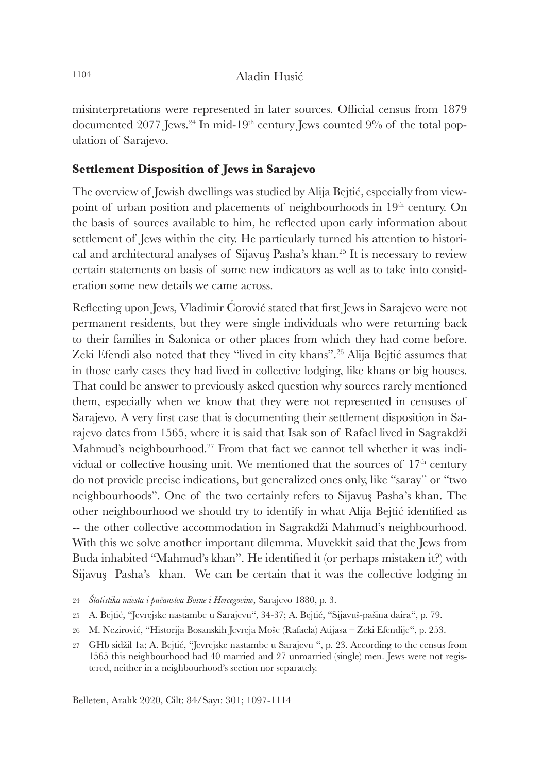misinterpretations were represented in later sources. Official census from 1879 documented 2077 Jews.<sup>24</sup> In mid-19<sup>th</sup> century Jews counted 9% of the total population of Sarajevo.

## **Settlement Disposition of Jews in Sarajevo**

The overview of Jewish dwellings was studied by Alija Bejtić, especially from viewpoint of urban position and placements of neighbourhoods in 19<sup>th</sup> century. On the basis of sources available to him, he reflected upon early information about settlement of Jews within the city. He particularly turned his attention to historical and architectural analyses of Sijavuş Pasha's khan.<sup>25</sup> It is necessary to review certain statements on basis of some new indicators as well as to take into consideration some new details we came across.

Reflecting upon Jews, Vladimir Ćorović stated that first Jews in Sarajevo were not permanent residents, but they were single individuals who were returning back to their families in Salonica or other places from which they had come before. Zeki Efendi also noted that they "lived in city khans".<sup>26</sup> Alija Bejtić assumes that in those early cases they had lived in collective lodging, like khans or big houses. That could be answer to previously asked question why sources rarely mentioned them, especially when we know that they were not represented in censuses of Sarajevo. A very first case that is documenting their settlement disposition in Sarajevo dates from 1565, where it is said that Isak son of Rafael lived in Sagrakdži Mahmud's neighbourhood.<sup>27</sup> From that fact we cannot tell whether it was individual or collective housing unit. We mentioned that the sources of  $17<sup>th</sup>$  century do not provide precise indications, but generalized ones only, like "saray" or "two neighbourhoods". One of the two certainly refers to Sijavuş Pasha's khan. The other neighbourhood we should try to identify in what Alija Bejtić identified as -- the other collective accommodation in Sagrakdži Mahmud's neighbourhood. With this we solve another important dilemma. Muvekkit said that the Jews from Buda inhabited "Mahmud's khan". He identified it (or perhaps mistaken it?) with Sijavuş Pasha's khan. We can be certain that it was the collective lodging in

<sup>24</sup> *Štatistika miesta i pučanstva Bosne i Hercegovine*, Sarajevo 1880, p. 3.

<sup>25</sup> A. Bejtić, "Jevrejske nastambe u Sarajevu", 34-37; A. Bejtić, "Sijavuš-pašina daira", p. 79.

<sup>26</sup> M. Nezirović, "Historija Bosanskih Jevreja Moše (Rafaela) Atijasa – Zeki Efendije", p. 253.

<sup>27</sup> GHb sidžil 1a; A. Bejtić, "Jevrejske nastambe u Sarajevu ", p. 23. According to the census from 1565 this neighbourhood had 40 married and 27 unmarried (single) men. Jews were not registered, neither in a neighbourhood's section nor separately.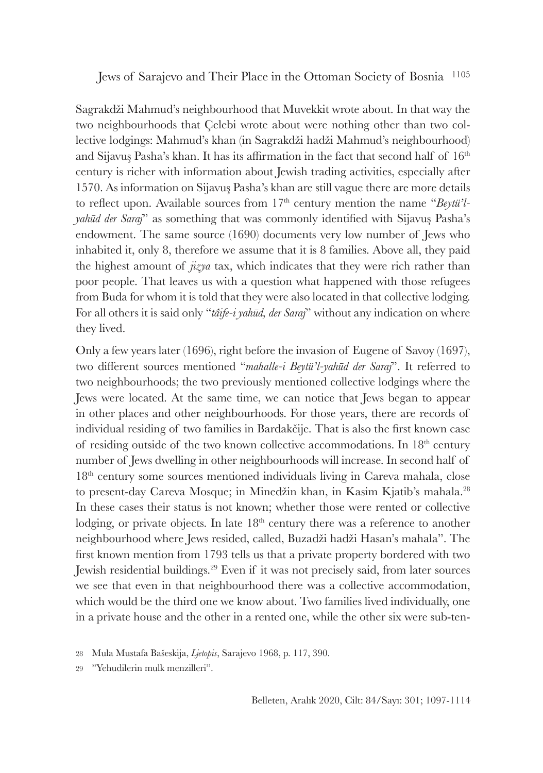Sagrakdži Mahmud's neighbourhood that Muvekkit wrote about. In that way the two neighbourhoods that Çelebi wrote about were nothing other than two collective lodgings: Mahmud's khan (in Sagrakdži hadži Mahmud's neighbourhood) and Sijavus Pasha's khan. It has its affirmation in the fact that second half of  $16<sup>th</sup>$ century is richer with information about Jewish trading activities, especially after 1570. As information on Sijavuş Pasha's khan are still vague there are more details to reflect upon. Available sources from  $17<sup>th</sup>$  century mention the name "*Beytü'lyahūd der Saraj*" as something that was commonly identified with Sijavuş Pasha's endowment. The same source (1690) documents very low number of Jews who inhabited it, only 8, therefore we assume that it is 8 families. Above all, they paid the highest amount of *jizya* tax, which indicates that they were rich rather than poor people. That leaves us with a question what happened with those refugees from Buda for whom it is told that they were also located in that collective lodging. For all others it is said only "*tâife-i yahūd, der Saraj*" without any indication on where they lived.

Only a few years later (1696), right before the invasion of Eugene of Savoy (1697), two different sources mentioned "*mahalle-i Beytü'l-yahūd der Saraj*". It referred to two neighbourhoods; the two previously mentioned collective lodgings where the Jews were located. At the same time, we can notice that Jews began to appear in other places and other neighbourhoods. For those years, there are records of individual residing of two families in Bardakčije. That is also the first known case of residing outside of the two known collective accommodations. In 18th century number of Jews dwelling in other neighbourhoods will increase. In second half of 18th century some sources mentioned individuals living in Careva mahala, close to present-day Careva Mosque; in Minedžin khan, in Kasim Kjatib's mahala.<sup>28</sup> In these cases their status is not known; whether those were rented or collective lodging, or private objects. In late  $18<sup>th</sup>$  century there was a reference to another neighbourhood where Jews resided, called, Buzadži hadži Hasan's mahala". The first known mention from 1793 tells us that a private property bordered with two Jewish residential buildings.<sup>29</sup> Even if it was not precisely said, from later sources we see that even in that neighbourhood there was a collective accommodation, which would be the third one we know about. Two families lived individually, one in a private house and the other in a rented one, while the other six were sub-ten-

29 "Yehudilerin mulk menzilleri".

<sup>28</sup> Mula Mustafa Bašeskija, *Ljetopis*, Sarajevo 1968, p. 117, 390.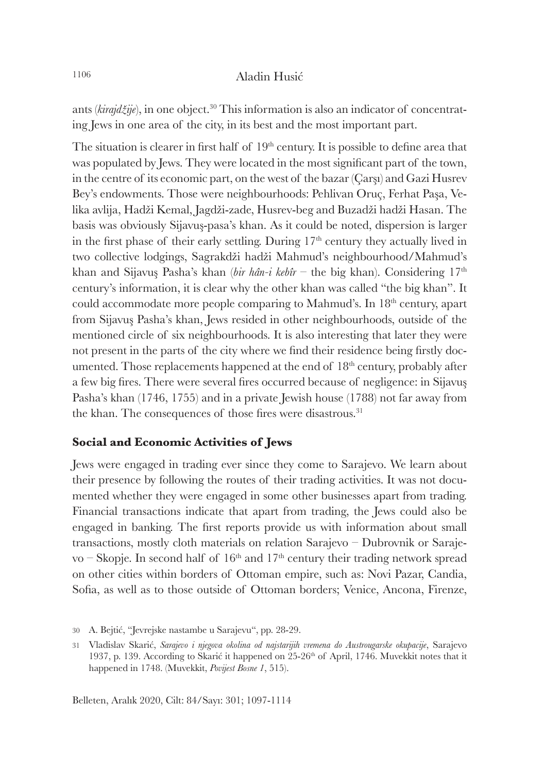ants (*kirajdžije*), in one object.<sup>30</sup> This information is also an indicator of concentrating Jews in one area of the city, in its best and the most important part.

The situation is clearer in first half of  $19<sup>th</sup>$  century. It is possible to define area that was populated by Jews. They were located in the most significant part of the town, in the centre of its economic part, on the west of the bazar (Çarşı) and Gazi Husrev Bey's endowments. Those were neighbourhoods: Pehlivan Oruç, Ferhat Paşa, Velika avlija, Hadži Kemal, Jagdži-zade, Husrev-beg and Buzadži hadži Hasan. The basis was obviously Sijavuş-pasa's khan. As it could be noted, dispersion is larger in the first phase of their early settling. During  $17<sup>th</sup>$  century they actually lived in two collective lodgings, Sagrakdži hadži Mahmud's neighbourhood/Mahmud's khan and Sijavuş Pasha's khan (*bir hân-i kebîr* – the big khan). Considering 17<sup>th</sup> century's information, it is clear why the other khan was called "the big khan". It could accommodate more people comparing to Mahmud's. In 18<sup>th</sup> century, apart from Sijavuş Pasha's khan, Jews resided in other neighbourhoods, outside of the mentioned circle of six neighbourhoods. It is also interesting that later they were not present in the parts of the city where we find their residence being firstly documented. Those replacements happened at the end of  $18<sup>th</sup>$  century, probably after a few big fires. There were several fires occurred because of negligence: in Sijavuş Pasha's khan (1746, 1755) and in a private Jewish house (1788) not far away from the khan. The consequences of those fires were disastrous.<sup>31</sup>

#### **Social and Economic Activities of Jews**

Jews were engaged in trading ever since they come to Sarajevo. We learn about their presence by following the routes of their trading activities. It was not documented whether they were engaged in some other businesses apart from trading. Financial transactions indicate that apart from trading, the Jews could also be engaged in banking. The first reports provide us with information about small transactions, mostly cloth materials on relation Sarajevo – Dubrovnik or Sarajevo – Skopje. In second half of  $16<sup>th</sup>$  and  $17<sup>th</sup>$  century their trading network spread on other cities within borders of Ottoman empire, such as: Novi Pazar, Candia, Sofia, as well as to those outside of Ottoman borders; Venice, Ancona, Firenze,

<sup>30</sup> A. Bejtić, "Jevrejske nastambe u Sarajevu", pp. 28-29.

<sup>31</sup> Vladislav Skarić, *Sarajevo i njegova okolina od najstarijih vremena do Austrougarske okupacije*, Sarajevo 1937, p. 139. According to Skarić it happened on  $25{\text -}26^{\text{th}}$  of April, 1746. Muvekkit notes that it happened in 1748. (Muvekkit, *Povijest Bosne 1*, 515).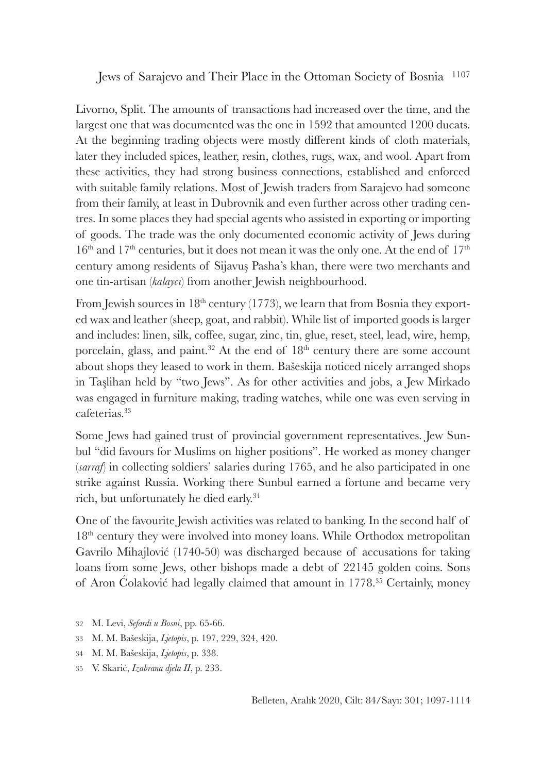Livorno, Split. The amounts of transactions had increased over the time, and the largest one that was documented was the one in 1592 that amounted 1200 ducats. At the beginning trading objects were mostly different kinds of cloth materials, later they included spices, leather, resin, clothes, rugs, wax, and wool. Apart from these activities, they had strong business connections, established and enforced with suitable family relations. Most of Jewish traders from Sarajevo had someone from their family, at least in Dubrovnik and even further across other trading centres. In some places they had special agents who assisted in exporting or importing of goods. The trade was the only documented economic activity of Jews during  $16<sup>th</sup>$  and  $17<sup>th</sup>$  centuries, but it does not mean it was the only one. At the end of  $17<sup>th</sup>$ century among residents of Sijavuş Pasha's khan, there were two merchants and one tin-artisan (*kalaycı*) from another Jewish neighbourhood.

From Jewish sources in  $18<sup>th</sup>$  century (1773), we learn that from Bosnia they exported wax and leather (sheep, goat, and rabbit). While list of imported goods is larger and includes: linen, silk, coffee, sugar, zinc, tin, glue, reset, steel, lead, wire, hemp, porcelain, glass, and paint.<sup>32</sup> At the end of  $18<sup>th</sup>$  century there are some account about shops they leased to work in them. Bašeskija noticed nicely arranged shops in Taşlihan held by "two Jews". As for other activities and jobs, a Jew Mirkado was engaged in furniture making, trading watches, while one was even serving in cafeterias.<sup>33</sup>

Some Jews had gained trust of provincial government representatives. Jew Sunbul "did favours for Muslims on higher positions". He worked as money changer (*sarraf*) in collecting soldiers' salaries during 1765, and he also participated in one strike against Russia. Working there Sunbul earned a fortune and became very rich, but unfortunately he died early.<sup>34</sup>

One of the favourite Jewish activities was related to banking. In the second half of 18<sup>th</sup> century they were involved into money loans. While Orthodox metropolitan Gavrilo Mihajlović (1740-50) was discharged because of accusations for taking loans from some Jews, other bishops made a debt of 22145 golden coins. Sons of Aron Ćolaković had legally claimed that amount in 1778.<sup>35</sup> Certainly, money

- 32 M. Levi, *Sefardi u Bosni*, pp. 65-66.
- 33 M. M. Bašeskija, *Ljetopis*, p. 197, 229, 324, 420.
- 34 M. M. Bašeskija, *Ljetopis*, p. 338.
- 35 V. Skarić, *Izabrana djela II*, p. 233.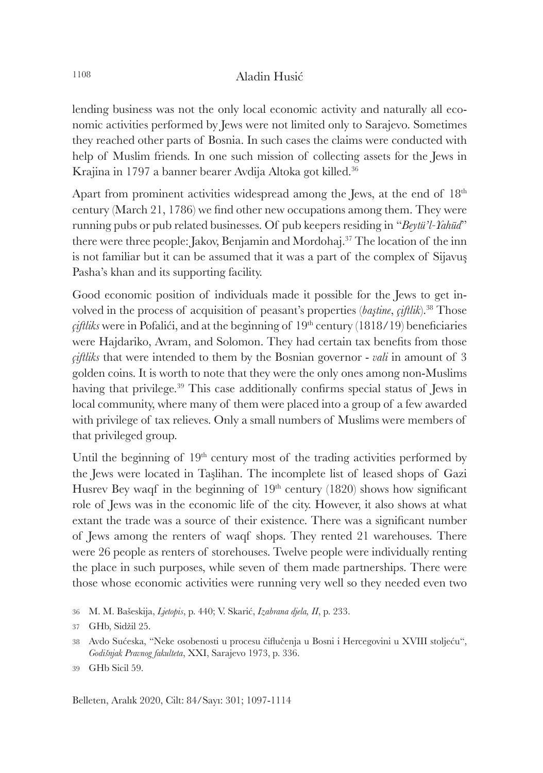lending business was not the only local economic activity and naturally all economic activities performed by Jews were not limited only to Sarajevo. Sometimes they reached other parts of Bosnia. In such cases the claims were conducted with help of Muslim friends. In one such mission of collecting assets for the Jews in Krajina in 1797 a banner bearer Avdija Altoka got killed.<sup>36</sup>

Apart from prominent activities widespread among the Jews, at the end of  $18<sup>th</sup>$ century (March 21, 1786) we find other new occupations among them. They were running pubs or pub related businesses. Of pub keepers residing in "*Beytü'l-Yahūd*" there were three people: Jakov, Benjamin and Mordohaj.<sup>37</sup> The location of the inn is not familiar but it can be assumed that it was a part of the complex of Sijavuş Pasha's khan and its supporting facility.

Good economic position of individuals made it possible for the Jews to get involved in the process of acquisition of peasant's properties (*baştine*, *ciftlik*).<sup>38</sup> Those  $\tilde{c}$ *iftliks* were in Pofalići, and at the beginning of  $19<sup>th</sup>$  century (1818/19) beneficiaries were Hajdariko, Avram, and Solomon. They had certain tax benefits from those *çiftliks* that were intended to them by the Bosnian governor - *vali* in amount of 3 golden coins. It is worth to note that they were the only ones among non-Muslims having that privilege.<sup>39</sup> This case additionally confirms special status of Jews in local community, where many of them were placed into a group of a few awarded with privilege of tax relieves. Only a small numbers of Muslims were members of that privileged group.

Until the beginning of  $19<sup>th</sup>$  century most of the trading activities performed by the Jews were located in Taşlihan. The incomplete list of leased shops of Gazi Husrey Bey waqf in the beginning of  $19<sup>th</sup>$  century (1820) shows how significant role of Jews was in the economic life of the city. However, it also shows at what extant the trade was a source of their existence. There was a significant number of Jews among the renters of waqf shops. They rented 21 warehouses. There were 26 people as renters of storehouses. Twelve people were individually renting the place in such purposes, while seven of them made partnerships. There were those whose economic activities were running very well so they needed even two

<sup>36</sup> M. M. Bašeskija, *Ljetopis*, p. 440; V. Skarić, *Izabrana djela, II*, p. 233.

<sup>37</sup> GHb, Sidžil 25.

<sup>38</sup> Avdo Sućeska, "Neke osobenosti u procesu čiflučenja u Bosni i Hercegovini u XVIII stoljeću", *Godišnjak Pravnog fakulteta*, XXI, Sarajevo 1973, p. 336.

<sup>39</sup> GHb Sicil 59.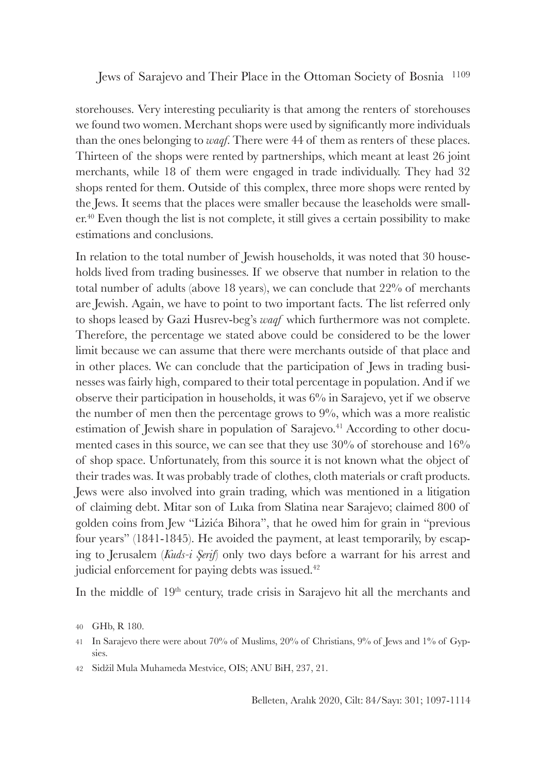storehouses. Very interesting peculiarity is that among the renters of storehouses we found two women. Merchant shops were used by significantly more individuals than the ones belonging to *waqf*. There were 44 of them as renters of these places. Thirteen of the shops were rented by partnerships, which meant at least 26 joint merchants, while 18 of them were engaged in trade individually. They had 32 shops rented for them. Outside of this complex, three more shops were rented by the Jews. It seems that the places were smaller because the leaseholds were smaller.<sup>40</sup> Even though the list is not complete, it still gives a certain possibility to make estimations and conclusions.

In relation to the total number of Jewish households, it was noted that 30 households lived from trading businesses. If we observe that number in relation to the total number of adults (above 18 years), we can conclude that 22% of merchants are Jewish. Again, we have to point to two important facts. The list referred only to shops leased by Gazi Husrev-beg's *waqf* which furthermore was not complete. Therefore, the percentage we stated above could be considered to be the lower limit because we can assume that there were merchants outside of that place and in other places. We can conclude that the participation of Jews in trading businesses was fairly high, compared to their total percentage in population. And if we observe their participation in households, it was 6% in Sarajevo, yet if we observe the number of men then the percentage grows to  $9\%$ , which was a more realistic estimation of Jewish share in population of Sarajevo.<sup>41</sup> According to other documented cases in this source, we can see that they use 30% of storehouse and 16% of shop space. Unfortunately, from this source it is not known what the object of their trades was. It was probably trade of clothes, cloth materials or craft products. Jews were also involved into grain trading, which was mentioned in a litigation of claiming debt. Mitar son of Luka from Slatina near Sarajevo; claimed 800 of golden coins from Jew "Lizića Bihora", that he owed him for grain in "previous four years" (1841-1845). He avoided the payment, at least temporarily, by escaping to Jerusalem (*Kuds-i Şerif*) only two days before a warrant for his arrest and judicial enforcement for paying debts was issued.<sup>42</sup>

In the middle of 19<sup>th</sup> century, trade crisis in Sarajevo hit all the merchants and

<sup>40</sup> GHb, R 180.

<sup>41</sup> In Sarajevo there were about 70% of Muslims, 20% of Christians, 9% of Jews and 1% of Gypsies.

<sup>42</sup> Sidžil Mula Muhameda Mestvice, OIS; ANU BiH, 237, 21.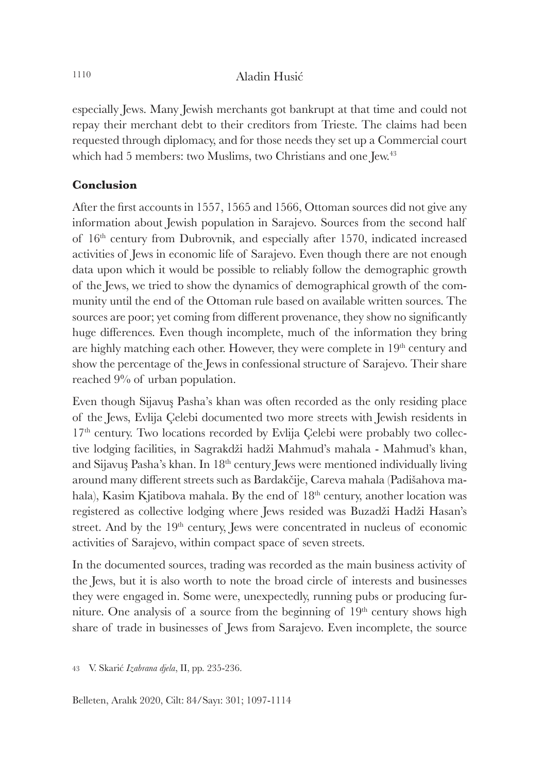especially Jews. Many Jewish merchants got bankrupt at that time and could not repay their merchant debt to their creditors from Trieste. The claims had been requested through diplomacy, and for those needs they set up a Commercial court which had 5 members: two Muslims, two Christians and one Jew.<sup>43</sup>

## **Conclusion**

After the first accounts in 1557, 1565 and 1566, Ottoman sources did not give any information about Jewish population in Sarajevo. Sources from the second half of 16th century from Dubrovnik, and especially after 1570, indicated increased activities of Jews in economic life of Sarajevo. Even though there are not enough data upon which it would be possible to reliably follow the demographic growth of the Jews, we tried to show the dynamics of demographical growth of the community until the end of the Ottoman rule based on available written sources. The sources are poor; yet coming from different provenance, they show no significantly huge differences. Even though incomplete, much of the information they bring are highly matching each other. However, they were complete in  $19<sup>th</sup>$  century and show the percentage of the Jews in confessional structure of Sarajevo. Their share reached 9% of urban population.

Even though Sijavuş Pasha's khan was often recorded as the only residing place of the Jews, Evlija Çelebi documented two more streets with Jewish residents in 17<sup>th</sup> century. Two locations recorded by Evlija Çelebi were probably two collective lodging facilities, in Sagrakdži hadži Mahmud's mahala - Mahmud's khan, and Sijavuş Pasha's khan. In 18<sup>th</sup> century Jews were mentioned individually living around many different streets such as Bardakčije, Careva mahala (Padišahova mahala), Kasim Kjatibova mahala. By the end of 18<sup>th</sup> century, another location was registered as collective lodging where Jews resided was Buzadži Hadži Hasan's street. And by the 19<sup>th</sup> century, Jews were concentrated in nucleus of economic activities of Sarajevo, within compact space of seven streets.

In the documented sources, trading was recorded as the main business activity of the Jews, but it is also worth to note the broad circle of interests and businesses they were engaged in. Some were, unexpectedly, running pubs or producing furniture. One analysis of a source from the beginning of  $19<sup>th</sup>$  century shows high share of trade in businesses of Jews from Sarajevo. Even incomplete, the source

43 V. Skarić *Izabrana djela*, II, pp. 235-236.

Belleten, Aralık 2020, Cilt: 84/Sayı: 301; 1097-1114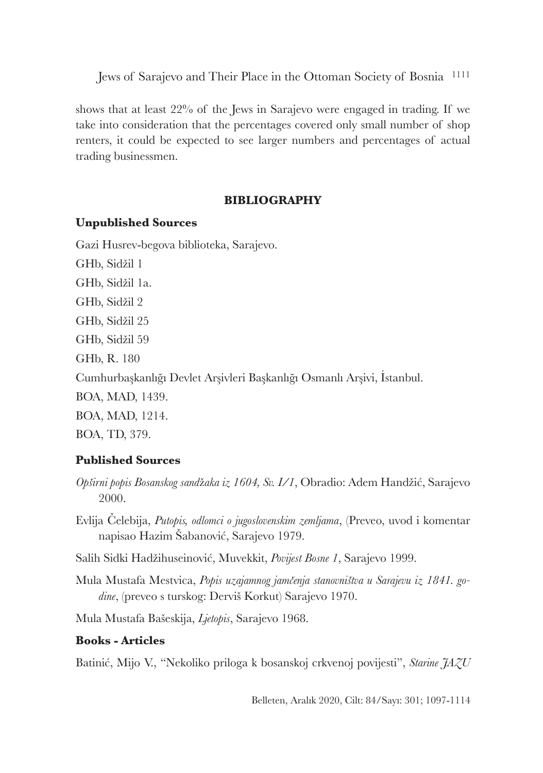shows that at least 22% of the Jews in Sarajevo were engaged in trading. If we take into consideration that the percentages covered only small number of shop renters, it could be expected to see larger numbers and percentages of actual trading businessmen.

### **BIBLIOGRAPHY**

### **Unpublished Sources**

Gazi Husrev-begova biblioteka, Sarajevo.

GHb, Sidžil 1 GHb, Sidžil 1a. GHb, Sidžil 2 GHb, Sidžil 25 GHb, Sidžil 59 GHb, R. 180 Cumhurbaşkanlığı Devlet Arşivleri Başkanlığı Osmanlı Arşivi, İstanbul. BOA, MAD, 1439. BOA, MAD, 1214. BOA, TD, 379.

## **Published Sources**

- *Opširni popis Bosanskog sand*ž*aka iz 1604, Sv. I/1*, Obradio: Adem Handžić, Sarajevo 2000.
- Evlija Čelebija, *Putopis, odlomci o jugoslovenskim zemljama*, (Preveo, uvod i komentar napisao Hazim Šabanović, Sarajevo 1979.

Salih Sidki Hadžihuseinović, Muvekkit, *Povijest Bosne 1*, Sarajevo 1999.

Mula Mustafa Mestvica, *Popis uzajamnog jamčenja stanovništva u Sarajevu iz 1841. godine*, (preveo s turskog: Derviš Korkut) Sarajevo 1970.

Mula Mustafa Bašeskija, *Ljetopis*, Sarajevo 1968.

## **Books - Articles**

Batinić, Mijo V., "Nekoliko priloga k bosanskoj crkvenoj povijesti", *Starine JAZU*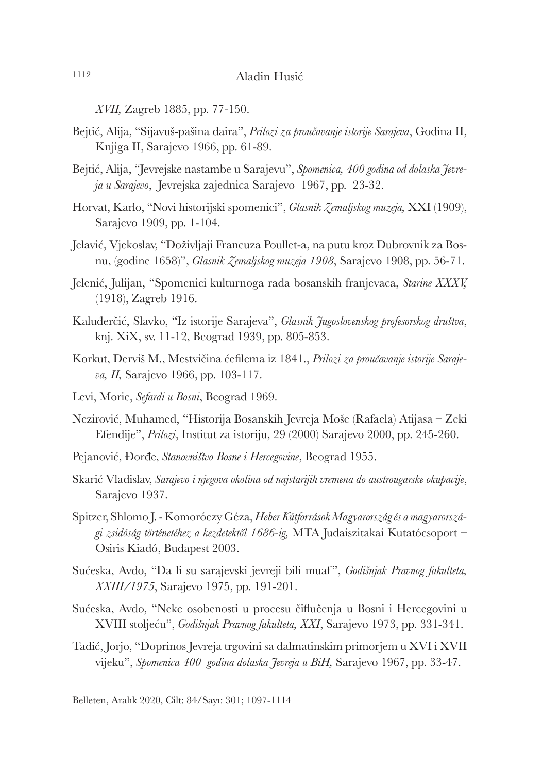*XVII,* Zagreb 1885, pp. 77*-*150.

- Bejtić, Alija, "Sijavuš-pašina daira", *Prilozi za proučavanje istorije Sarajeva*, Godina II, Knjiga II, Sarajevo 1966, pp. 61-89.
- Bejtić, Alija, "Jevrejske nastambe u Sarajevu", *Spomenica, 400 godina od dolaska Jevreja u Sarajevo*, Jevrejska zajednica Sarajevo 1967, pp. 23-32.
- Horvat, Karlo, "Novi historijski spomenici", *Glasnik Zemaljskog muzeja,* XXI (1909), Sarajevo 1909, pp. 1-104.
- Jelavić, Vjekoslav, "Doživljaji Francuza Poullet-a, na putu kroz Dubrovnik za Bosnu, (godine 1658)", *Glasnik Zemaljskog muzeja 1908*, Sarajevo 1908, pp. 56-71.
- Jelenić, Julijan, "Spomenici kulturnoga rada bosanskih franjevaca, *Starine XXXV,*  (1918), Zagreb 1916.
- Kaluđerčić, Slavko, "Iz istorije Sarajeva", *Glasnik Jugoslovenskog profesorskog društva*, knj. XiX, sv. 11-12, Beograd 1939, pp. 805-853.
- Korkut, Derviš M., Mestvičina ćefilema iz 1841., *Prilozi za proučavanje istorije Sarajeva, II,* Sarajevo 1966, pp. 103-117.
- Levi, Moric, *Sefardi u Bosni*, Beograd 1969.
- Nezirović, Muhamed, "Historija Bosanskih Jevreja Moše (Rafaela) Atijasa Zeki Efendije", *Prilozi*, Institut za istoriju, 29 (2000) Sarajevo 2000, pp. 245-260.
- Pejanović, Đorđe, *Stanovništvo Bosne i Hercegovine*, Beograd 1955.
- Skarić Vladislav, *Sarajevo i njegova okolina od najstarijih vremena do austrougarske okupacije*, Sarajevo 1937.
- Spitzer, Shlomo J. Komoróczy Géza, *Heber Kútforrások Magyarország és a magyarországi zsidóság történetéhez a kezdetektől 1686-ig,* MTA Judaiszitakai Kutatócsoport – Osiris Kiadó, Budapest 2003.
- Sućeska, Avdo, "Da li su sarajevski jevreji bili muaf ", *Godišnjak Pravnog fakulteta, XXIII/1975*, Sarajevo 1975, pp. 191-201.
- Sućeska, Avdo, "Neke osobenosti u procesu čiflučenja u Bosni i Hercegovini u XVIII stoljeću", *Godišnjak Pravnog fakulteta, XXI*, Sarajevo 1973, pp. 331-341.
- Tadić, Jorjo, "Doprinos Jevreja trgovini sa dalmatinskim primorjem u XVI i XVII vijeku", *Spomenica 400 godina dolaska Jevreja u BiH,* Sarajevo 1967, pp. 33-47.